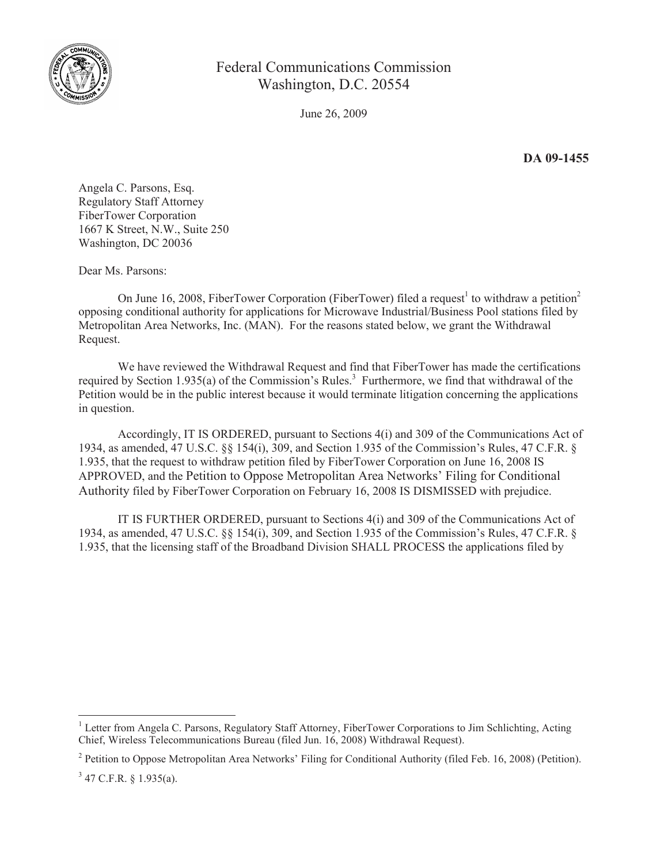

## Federal Communications Commission Washington, D.C. 20554

June 26, 2009

**DA 09-1455**

Angela C. Parsons, Esq. Regulatory Staff Attorney FiberTower Corporation 1667 K Street, N.W., Suite 250 Washington, DC 20036

Dear Ms. Parsons:

On June 16, 2008, FiberTower Corporation (FiberTower) filed a request<sup>1</sup> to withdraw a petition<sup>2</sup> opposing conditional authority for applications for Microwave Industrial/Business Pool stations filed by Metropolitan Area Networks, Inc. (MAN). For the reasons stated below, we grant the Withdrawal Request.

We have reviewed the Withdrawal Request and find that FiberTower has made the certifications required by Section 1.935(a) of the Commission's Rules.<sup>3</sup> Furthermore, we find that withdrawal of the Petition would be in the public interest because it would terminate litigation concerning the applications in question.

Accordingly, IT IS ORDERED, pursuant to Sections 4(i) and 309 of the Communications Act of 1934, as amended, 47 U.S.C. §§ 154(i), 309, and Section 1.935 of the Commission's Rules, 47 C.F.R. § 1.935, that the request to withdraw petition filed by FiberTower Corporation on June 16, 2008 IS APPROVED, and the Petition to Oppose Metropolitan Area Networks' Filing for Conditional Authority filed by FiberTower Corporation on February 16, 2008 IS DISMISSED with prejudice.

IT IS FURTHER ORDERED, pursuant to Sections 4(i) and 309 of the Communications Act of 1934, as amended, 47 U.S.C. §§ 154(i), 309, and Section 1.935 of the Commission's Rules, 47 C.F.R. § 1.935, that the licensing staff of the Broadband Division SHALL PROCESS the applications filed by

<sup>&</sup>lt;sup>1</sup> Letter from Angela C. Parsons, Regulatory Staff Attorney, FiberTower Corporations to Jim Schlichting, Acting Chief, Wireless Telecommunications Bureau (filed Jun. 16, 2008) Withdrawal Request).

<sup>&</sup>lt;sup>2</sup> Petition to Oppose Metropolitan Area Networks' Filing for Conditional Authority (filed Feb. 16, 2008) (Petition).

 $3$  47 C.F.R. § 1.935(a).